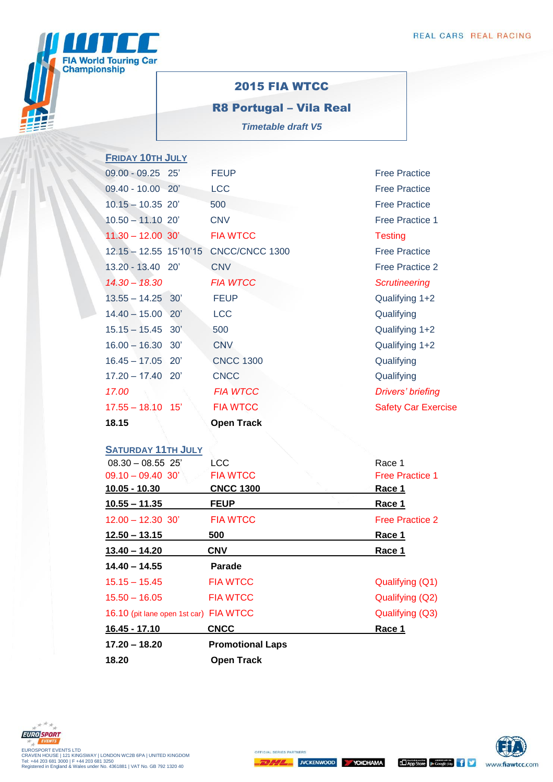

## 2015 FIA WTCC

R8 Portugal – Vila Real *Timetable draft V5*

| <b>FRIDAY 10TH JULY</b>   |                   |                            |
|---------------------------|-------------------|----------------------------|
| 09.00 - 09.25 25'         | <b>FEUP</b>       | <b>Free Practice</b>       |
| 09.40 - 10.00 20'         | <b>LCC</b>        | <b>Free Practice</b>       |
| $10.15 - 10.35$ 20'       | 500               | <b>Free Practice</b>       |
| $10.50 - 11.10$ 20'       | <b>CNV</b>        | <b>Free Practice 1</b>     |
| $11.30 - 12.00$ 30'       | <b>FIA WTCC</b>   | <b>Testing</b>             |
| $12.15 - 12.55$ 15'10'15  | CNCC/CNCC 1300    | <b>Free Practice</b>       |
| 13.20 - 13.40 20'         | <b>CNV</b>        | <b>Free Practice 2</b>     |
| $14.30 - 18.30$           | <b>FIA WTCC</b>   | <b>Scrutineering</b>       |
| $13.55 - 14.25$<br>30'    | <b>FEUP</b>       | Qualifying 1+2             |
| $14.40 - 15.00$<br>20'    | <b>LCC</b>        | Qualifying                 |
| $15.15 - 15.45$ 30'       | 500               | Qualifying 1+2             |
| $16.00 - 16.30$<br>30'    | <b>CNV</b>        | Qualifying 1+2             |
| $16.45 - 17.05$ 20'       | <b>CNCC 1300</b>  | Qualifying                 |
| $17.20 - 17.40$<br>20'    | <b>CNCC</b>       | Qualifying                 |
| 17.00                     | <b>FIA WTCC</b>   | Drivers' briefing          |
| $17.55 - 18.10$<br>15'    | <b>FIA WTCC</b>   | <b>Safety Car Exercise</b> |
| 18.15                     | <b>Open Track</b> |                            |
|                           |                   |                            |
| <b>SATURDAY 11TH JULY</b> |                   |                            |
| $08.30 - 08.55$ 25'       | LCC               | Race 1                     |
| $09.10 - 09.40 30'$       | <b>FIA WTCC</b>   | <b>Free Practice 1</b>     |
| 10.05 - 10.30             | <b>CNCC 1300</b>  | Race 1                     |

Free Practice 1 **10.05 - 10.30 CNCC 1300 Race 1 10.55 – 11.35 FEUP Race 1** 12.00 – 12.30 30' FIA WTCC Free Practice 2 **12.50 – 13.15 500 Race 1 13.40 – 14.20 CNV Race 1 14.40 – 14.55 Parade** 15.15 – 15.45 FIA WTCC Qualifying (Q1) 15.50 – 16.05 FIA WTCC Qualifying (Q2) 16.10 (pit lane open 1st car) FIA WTCC Qualifying (Q3) **16.45 - 17.10 CNCC Race 1 17.20 – 18.20 Promotional Laps 18.20 Open Track**



OFFICIAL SERIES PARTNER